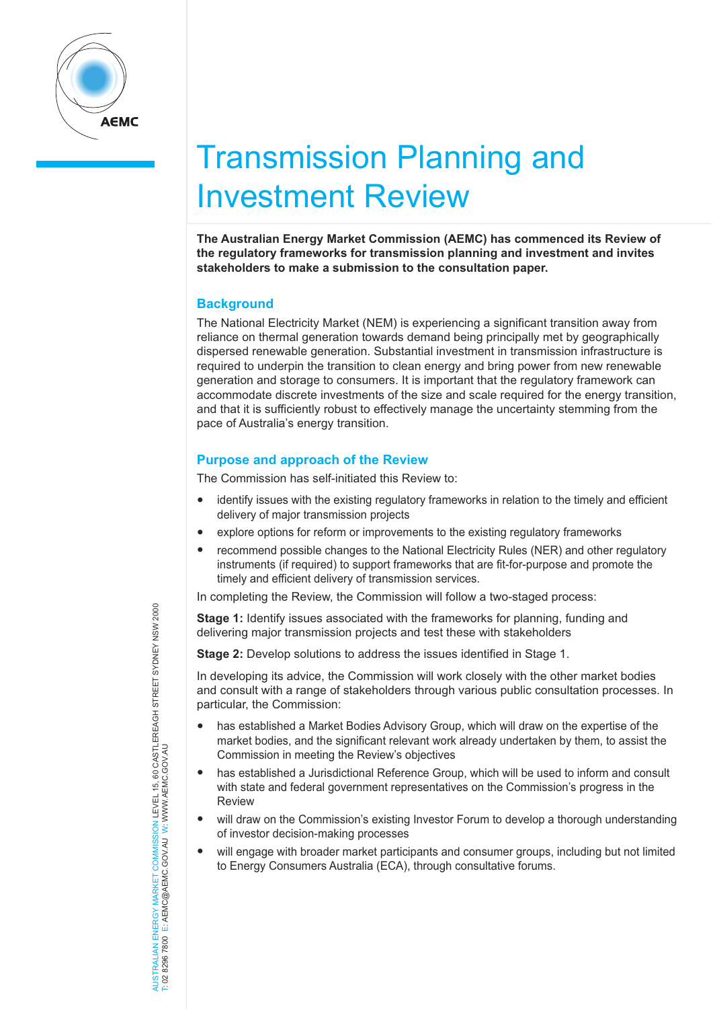

# Transmission Planning and Investment Review

**The Australian Energy Market Commission (AEMC) has commenced its Review of the regulatory frameworks for transmission planning and investment and invites stakeholders to make a submission to the consultation paper.**

## **Background**

The National Electricity Market (NEM) is experiencing a significant transition away from reliance on thermal generation towards demand being principally met by geographically dispersed renewable generation. Substantial investment in transmission infrastructure is required to underpin the transition to clean energy and bring power from new renewable generation and storage to consumers. It is important that the regulatory framework can accommodate discrete investments of the size and scale required for the energy transition, and that it is sufficiently robust to effectively manage the uncertainty stemming from the pace of Australia's energy transition.

## **Purpose and approach of the Review**

The Commission has self-initiated this Review to:

- identify issues with the existing regulatory frameworks in relation to the timely and efficient delivery of major transmission projects
- explore options for reform or improvements to the existing regulatory frameworks
- recommend possible changes to the National Electricity Rules (NER) and other regulatory instruments (if required) to support frameworks that are fit-for-purpose and promote the timely and efficient delivery of transmission services.

In completing the Review, the Commission will follow a two-staged process:

**Stage 1:** Identify issues associated with the frameworks for planning, funding and delivering major transmission projects and test these with stakeholders

**Stage 2:** Develop solutions to address the issues identified in Stage 1.

In developing its advice, the Commission will work closely with the other market bodies and consult with a range of stakeholders through various public consultation processes. In particular, the Commission:

- has established a Market Bodies Advisory Group, which will draw on the expertise of the market bodies, and the significant relevant work already undertaken by them, to assist the Commission in meeting the Review's objectives
- has established a Jurisdictional Reference Group, which will be used to inform and consult with state and federal government representatives on the Commission's progress in the Review
- will draw on the Commission's existing Investor Forum to develop a thorough understanding of investor decision-making processes
- will engage with broader market participants and consumer groups, including but not limited to Energy Consumers Australia (ECA), through consultative forums.

NERGY MARKET COMMISSION LEVEL 15, 60 CASTLEREAGH STREET SYDNEY NSW 2000<br>E: AEMC@AEMC.GOV.AU W: WWW.AEMC.GOV.AU AUSTRALIAN ENERGY MARKET COMMISSION LEVEL 15, 60 CASTLEREAGH STREET SYDNEY NSW 2000 T: 02 8296 7800 E: AEMC@AEMC.GOV.AU W: WWW.AEMC.GOV.AU AUSTRALIAN FNFRGY MARKET T: 02 8296 7800